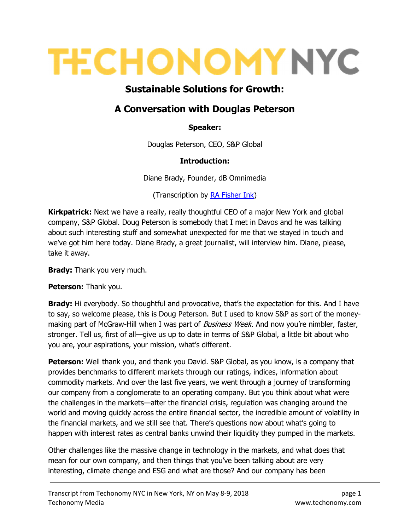# **TECHONOMY NYC**

## Sustainable Solutions for Growth:

### A Conversation with Douglas Peterson

#### Speaker:

Douglas Peterson, CEO, S&P Global

#### Introduction:

Diane Brady, Founder, dB Omnimedia

(Transcription by RA Fisher Ink)

**Kirkpatrick:** Next we have a really, really thoughtful CEO of a major New York and global company, S&P Global. Doug Peterson is somebody that I met in Davos and he was talking about such interesting stuff and somewhat unexpected for me that we stayed in touch and we've got him here today. Diane Brady, a great journalist, will interview him. Diane, please, take it away.

**Brady:** Thank you very much.

Peterson: Thank you.

**Brady:** Hi everybody. So thoughtful and provocative, that's the expectation for this. And I have to say, so welcome please, this is Doug Peterson. But I used to know S&P as sort of the moneymaking part of McGraw-Hill when I was part of *Business Week*. And now you're nimbler, faster, stronger. Tell us, first of all—give us up to date in terms of S&P Global, a little bit about who you are, your aspirations, your mission, what's different.

**Peterson:** Well thank you, and thank you David. S&P Global, as you know, is a company that provides benchmarks to different markets through our ratings, indices, information about commodity markets. And over the last five years, we went through a journey of transforming our company from a conglomerate to an operating company. But you think about what were the challenges in the markets—after the financial crisis, regulation was changing around the world and moving quickly across the entire financial sector, the incredible amount of volatility in the financial markets, and we still see that. There's questions now about what's going to happen with interest rates as central banks unwind their liquidity they pumped in the markets.

Other challenges like the massive change in technology in the markets, and what does that mean for our own company, and then things that you've been talking about are very interesting, climate change and ESG and what are those? And our company has been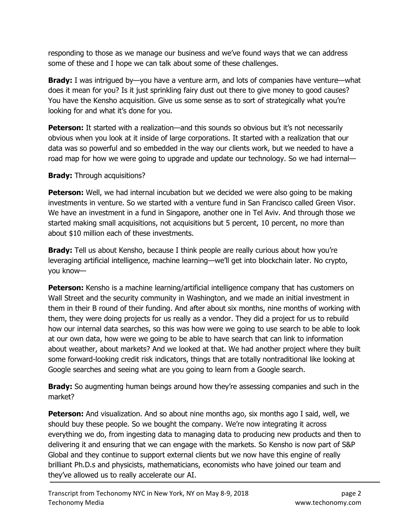responding to those as we manage our business and we've found ways that we can address some of these and I hope we can talk about some of these challenges.

Brady: I was intrigued by-you have a venture arm, and lots of companies have venture-what does it mean for you? Is it just sprinkling fairy dust out there to give money to good causes? You have the Kensho acquisition. Give us some sense as to sort of strategically what you're looking for and what it's done for you.

**Peterson:** It started with a realization—and this sounds so obvious but it's not necessarily obvious when you look at it inside of large corporations. It started with a realization that our data was so powerful and so embedded in the way our clients work, but we needed to have a road map for how we were going to upgrade and update our technology. So we had internal—

#### **Brady:** Through acquisitions?

**Peterson:** Well, we had internal incubation but we decided we were also going to be making investments in venture. So we started with a venture fund in San Francisco called Green Visor. We have an investment in a fund in Singapore, another one in Tel Aviv. And through those we started making small acquisitions, not acquisitions but 5 percent, 10 percent, no more than about \$10 million each of these investments.

**Brady:** Tell us about Kensho, because I think people are really curious about how you're leveraging artificial intelligence, machine learning—we'll get into blockchain later. No crypto, you know—

**Peterson:** Kensho is a machine learning/artificial intelligence company that has customers on Wall Street and the security community in Washington, and we made an initial investment in them in their B round of their funding. And after about six months, nine months of working with them, they were doing projects for us really as a vendor. They did a project for us to rebuild how our internal data searches, so this was how were we going to use search to be able to look at our own data, how were we going to be able to have search that can link to information about weather, about markets? And we looked at that. We had another project where they built some forward-looking credit risk indicators, things that are totally nontraditional like looking at Google searches and seeing what are you going to learn from a Google search.

**Brady:** So augmenting human beings around how they're assessing companies and such in the market?

**Peterson:** And visualization. And so about nine months ago, six months ago I said, well, we should buy these people. So we bought the company. We're now integrating it across everything we do, from ingesting data to managing data to producing new products and then to delivering it and ensuring that we can engage with the markets. So Kensho is now part of S&P Global and they continue to support external clients but we now have this engine of really brilliant Ph.D.s and physicists, mathematicians, economists who have joined our team and they've allowed us to really accelerate our AI.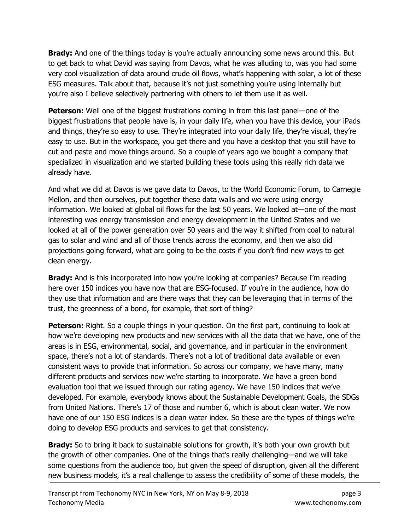**Brady:** And one of the things today is you're actually announcing some news around this. But to get back to what David was saying from Davos, what he was alluding to, was you had some very cool visualization of data around crude oil flows, what's happening with solar, a lot of these ESG measures. Talk about that, because it's not just something you're using internally but you're also I believe selectively partnering with others to let them use it as well.

**Peterson:** Well one of the biggest frustrations coming in from this last panel—one of the biggest frustrations that people have is, in your daily life, when you have this device, your iPads and things, they're so easy to use. They're integrated into your daily life, they're visual, they're easy to use. But in the workspace, you get there and you have a desktop that you still have to cut and paste and move things around. So a couple of years ago we bought a company that specialized in visualization and we started building these tools using this really rich data we already have.

And what we did at Davos is we gave data to Davos, to the World Economic Forum, to Carnegie Mellon, and then ourselves, put together these data walls and we were using energy information. We looked at global oil flows for the last 50 years. We looked at—one of the most interesting was energy transmission and energy development in the United States and we looked at all of the power generation over 50 years and the way it shifted from coal to natural gas to solar and wind and all of those trends across the economy, and then we also did projections going forward, what are going to be the costs if you don't find new ways to get clean energy.

**Brady:** And is this incorporated into how you're looking at companies? Because I'm reading here over 150 indices you have now that are ESG-focused. If you're in the audience, how do they use that information and are there ways that they can be leveraging that in terms of the trust, the greenness of a bond, for example, that sort of thing?

**Peterson:** Right. So a couple things in your question. On the first part, continuing to look at how we're developing new products and new services with all the data that we have, one of the areas is in ESG, environmental, social, and governance, and in particular in the environment space, there's not a lot of standards. There's not a lot of traditional data available or even consistent ways to provide that information. So across our company, we have many, many different products and services now we're starting to incorporate. We have a green bond evaluation tool that we issued through our rating agency. We have 150 indices that we've developed. For example, everybody knows about the Sustainable Development Goals, the SDGs from United Nations. There's 17 of those and number 6, which is about clean water. We now have one of our 150 ESG indices is a clean water index. So these are the types of things we're doing to develop ESG products and services to get that consistency.

**Brady:** So to bring it back to sustainable solutions for growth, it's both your own growth but the growth of other companies. One of the things that's really challenging—and we will take some questions from the audience too, but given the speed of disruption, given all the different new business models, it's a real challenge to assess the credibility of some of these models, the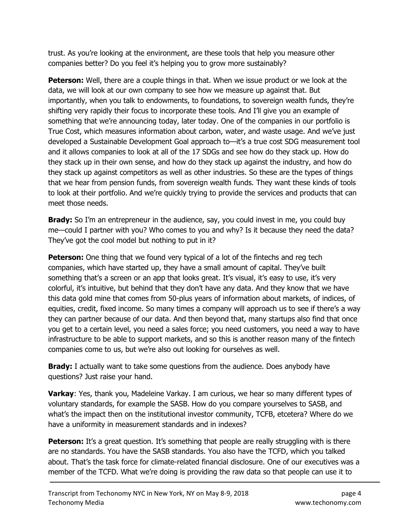trust. As you're looking at the environment, are these tools that help you measure other companies better? Do you feel it's helping you to grow more sustainably?

**Peterson:** Well, there are a couple things in that. When we issue product or we look at the data, we will look at our own company to see how we measure up against that. But importantly, when you talk to endowments, to foundations, to sovereign wealth funds, they're shifting very rapidly their focus to incorporate these tools. And I'll give you an example of something that we're announcing today, later today. One of the companies in our portfolio is True Cost, which measures information about carbon, water, and waste usage. And we've just developed a Sustainable Development Goal approach to—it's a true cost SDG measurement tool and it allows companies to look at all of the 17 SDGs and see how do they stack up. How do they stack up in their own sense, and how do they stack up against the industry, and how do they stack up against competitors as well as other industries. So these are the types of things that we hear from pension funds, from sovereign wealth funds. They want these kinds of tools to look at their portfolio. And we're quickly trying to provide the services and products that can meet those needs.

**Brady:** So I'm an entrepreneur in the audience, say, you could invest in me, you could buy me—could I partner with you? Who comes to you and why? Is it because they need the data? They've got the cool model but nothing to put in it?

**Peterson:** One thing that we found very typical of a lot of the fintechs and reg tech companies, which have started up, they have a small amount of capital. They've built something that's a screen or an app that looks great. It's visual, it's easy to use, it's very colorful, it's intuitive, but behind that they don't have any data. And they know that we have this data gold mine that comes from 50-plus years of information about markets, of indices, of equities, credit, fixed income. So many times a company will approach us to see if there's a way they can partner because of our data. And then beyond that, many startups also find that once you get to a certain level, you need a sales force; you need customers, you need a way to have infrastructure to be able to support markets, and so this is another reason many of the fintech companies come to us, but we're also out looking for ourselves as well.

**Brady:** I actually want to take some questions from the audience. Does anybody have questions? Just raise your hand.

**Varkay**: Yes, thank you, Madeleine Varkay. I am curious, we hear so many different types of voluntary standards, for example the SASB. How do you compare yourselves to SASB, and what's the impact then on the institutional investor community, TCFB, etcetera? Where do we have a uniformity in measurement standards and in indexes?

**Peterson:** It's a great question. It's something that people are really struggling with is there are no standards. You have the SASB standards. You also have the TCFD, which you talked about. That's the task force for climate-related financial disclosure. One of our executives was a member of the TCFD. What we're doing is providing the raw data so that people can use it to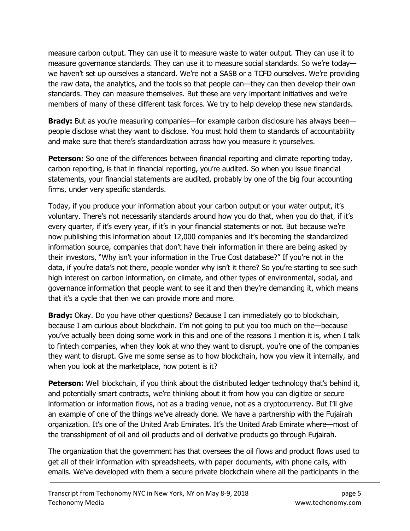measure carbon output. They can use it to measure waste to water output. They can use it to measure governance standards. They can use it to measure social standards. So we're today we haven't set up ourselves a standard. We're not a SASB or a TCFD ourselves. We're providing the raw data, the analytics, and the tools so that people can—they can then develop their own standards. They can measure themselves. But these are very important initiatives and we're members of many of these different task forces. We try to help develop these new standards.

**Brady:** But as you're measuring companies—for example carbon disclosure has always been people disclose what they want to disclose. You must hold them to standards of accountability and make sure that there's standardization across how you measure it yourselves.

**Peterson:** So one of the differences between financial reporting and climate reporting today, carbon reporting, is that in financial reporting, you're audited. So when you issue financial statements, your financial statements are audited, probably by one of the big four accounting firms, under very specific standards.

Today, if you produce your information about your carbon output or your water output, it's voluntary. There's not necessarily standards around how you do that, when you do that, if it's every quarter, if it's every year, if it's in your financial statements or not. But because we're now publishing this information about 12,000 companies and it's becoming the standardized information source, companies that don't have their information in there are being asked by their investors, "Why isn't your information in the True Cost database?" If you're not in the data, if you're data's not there, people wonder why isn't it there? So you're starting to see such high interest on carbon information, on climate, and other types of environmental, social, and governance information that people want to see it and then they're demanding it, which means that it's a cycle that then we can provide more and more.

**Brady:** Okay. Do you have other questions? Because I can immediately go to blockchain, because I am curious about blockchain. I'm not going to put you too much on the—because you've actually been doing some work in this and one of the reasons I mention it is, when I talk to fintech companies, when they look at who they want to disrupt, you're one of the companies they want to disrupt. Give me some sense as to how blockchain, how you view it internally, and when you look at the marketplace, how potent is it?

**Peterson:** Well blockchain, if you think about the distributed ledger technology that's behind it, and potentially smart contracts, we're thinking about it from how you can digitize or secure information or information flows, not as a trading venue, not as a cryptocurrency. But I'll give an example of one of the things we've already done. We have a partnership with the Fujairah organization. It's one of the United Arab Emirates. It's the United Arab Emirate where—most of the transshipment of oil and oil products and oil derivative products go through Fujairah.

The organization that the government has that oversees the oil flows and product flows used to get all of their information with spreadsheets, with paper documents, with phone calls, with emails. We've developed with them a secure private blockchain where all the participants in the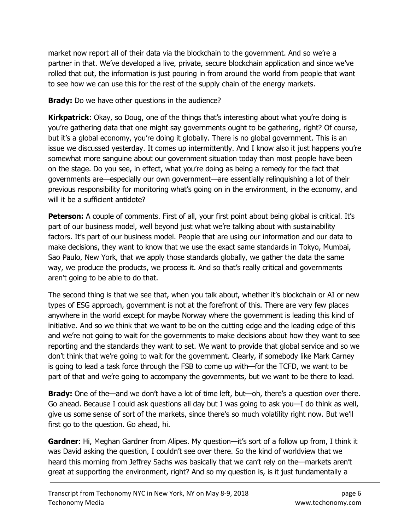market now report all of their data via the blockchain to the government. And so we're a partner in that. We've developed a live, private, secure blockchain application and since we've rolled that out, the information is just pouring in from around the world from people that want to see how we can use this for the rest of the supply chain of the energy markets.

**Brady:** Do we have other questions in the audience?

Kirkpatrick: Okay, so Doug, one of the things that's interesting about what you're doing is you're gathering data that one might say governments ought to be gathering, right? Of course, but it's a global economy, you're doing it globally. There is no global government. This is an issue we discussed yesterday. It comes up intermittently. And I know also it just happens you're somewhat more sanguine about our government situation today than most people have been on the stage. Do you see, in effect, what you're doing as being a remedy for the fact that governments are—especially our own government—are essentially relinquishing a lot of their previous responsibility for monitoring what's going on in the environment, in the economy, and will it be a sufficient antidote?

Peterson: A couple of comments. First of all, your first point about being global is critical. It's part of our business model, well beyond just what we're talking about with sustainability factors. It's part of our business model. People that are using our information and our data to make decisions, they want to know that we use the exact same standards in Tokyo, Mumbai, Sao Paulo, New York, that we apply those standards globally, we gather the data the same way, we produce the products, we process it. And so that's really critical and governments aren't going to be able to do that.

The second thing is that we see that, when you talk about, whether it's blockchain or AI or new types of ESG approach, government is not at the forefront of this. There are very few places anywhere in the world except for maybe Norway where the government is leading this kind of initiative. And so we think that we want to be on the cutting edge and the leading edge of this and we're not going to wait for the governments to make decisions about how they want to see reporting and the standards they want to set. We want to provide that global service and so we don't think that we're going to wait for the government. Clearly, if somebody like Mark Carney is going to lead a task force through the FSB to come up with—for the TCFD, we want to be part of that and we're going to accompany the governments, but we want to be there to lead.

**Brady:** One of the—and we don't have a lot of time left, but—oh, there's a question over there. Go ahead. Because I could ask questions all day but I was going to ask you—I do think as well, give us some sense of sort of the markets, since there's so much volatility right now. But we'll first go to the question. Go ahead, hi.

Gardner: Hi, Meghan Gardner from Alipes. My question—it's sort of a follow up from, I think it was David asking the question, I couldn't see over there. So the kind of worldview that we heard this morning from Jeffrey Sachs was basically that we can't rely on the—markets aren't great at supporting the environment, right? And so my question is, is it just fundamentally a